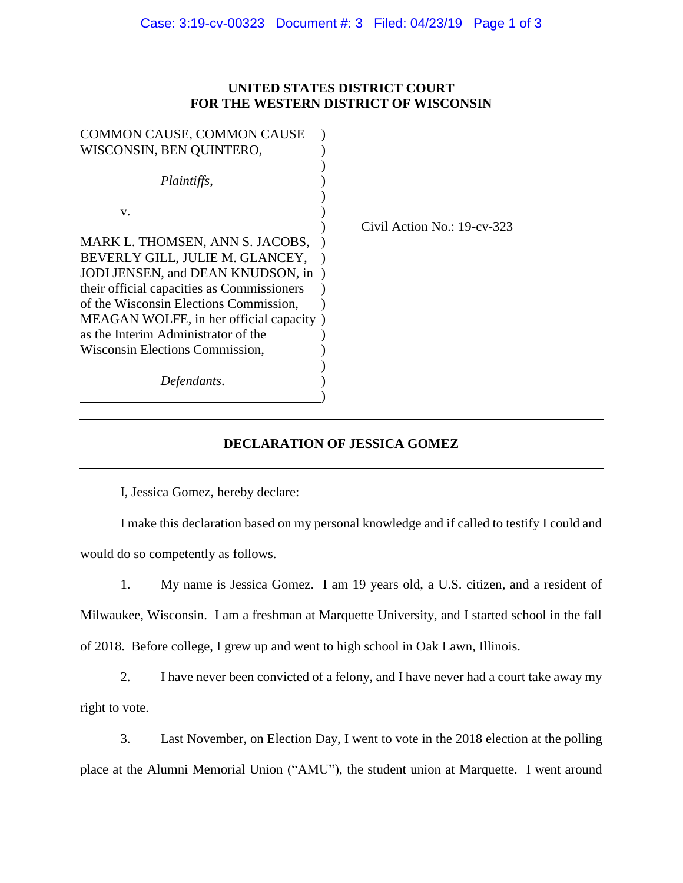## **UNITED STATES DISTRICT COURT FOR THE WESTERN DISTRICT OF WISCONSIN**

| <b>COMMON CAUSE, COMMON CAUSE</b>          |                             |
|--------------------------------------------|-----------------------------|
| WISCONSIN, BEN QUINTERO,                   |                             |
|                                            |                             |
| Plaintiffs,                                |                             |
|                                            |                             |
| V.                                         |                             |
|                                            | Civil Action No.: 19-cv-323 |
| MARK L. THOMSEN, ANN S. JACOBS,            |                             |
| BEVERLY GILL, JULIE M. GLANCEY,            |                             |
| JODI JENSEN, and DEAN KNUDSON, in          |                             |
| their official capacities as Commissioners |                             |
| of the Wisconsin Elections Commission,     |                             |
| MEAGAN WOLFE, in her official capacity)    |                             |
| as the Interim Administrator of the        |                             |
| Wisconsin Elections Commission,            |                             |
|                                            |                             |
| Defendants.                                |                             |
|                                            |                             |

# **DECLARATION OF JESSICA GOMEZ**

I, Jessica Gomez, hereby declare:

I make this declaration based on my personal knowledge and if called to testify I could and would do so competently as follows.

1. My name is Jessica Gomez. I am 19 years old, a U.S. citizen, and a resident of Milwaukee, Wisconsin. I am a freshman at Marquette University, and I started school in the fall of 2018. Before college, I grew up and went to high school in Oak Lawn, Illinois.

2. I have never been convicted of a felony, and I have never had a court take away my right to vote.

3. Last November, on Election Day, I went to vote in the 2018 election at the polling place at the Alumni Memorial Union ("AMU"), the student union at Marquette. I went around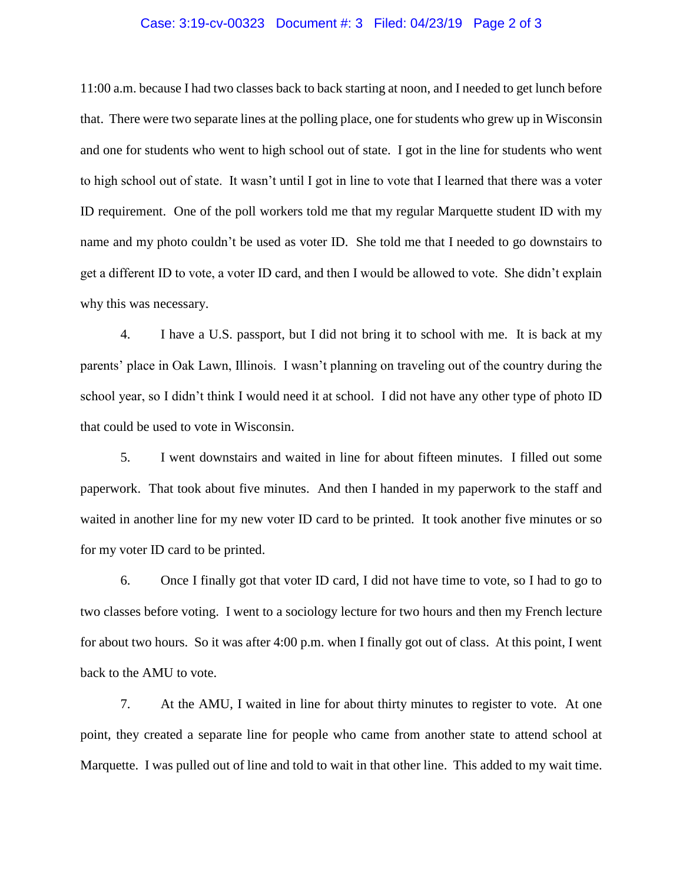#### Case: 3:19-cv-00323 Document #: 3 Filed: 04/23/19 Page 2 of 3

11:00 a.m. because I had two classes back to back starting at noon, and I needed to get lunch before that. There were two separate lines at the polling place, one for students who grew up in Wisconsin and one for students who went to high school out of state. I got in the line for students who went to high school out of state. It wasn't until I got in line to vote that I learned that there was a voter ID requirement. One of the poll workers told me that my regular Marquette student ID with my name and my photo couldn't be used as voter ID. She told me that I needed to go downstairs to get a different ID to vote, a voter ID card, and then I would be allowed to vote. She didn't explain why this was necessary.

4. I have a U.S. passport, but I did not bring it to school with me. It is back at my parents' place in Oak Lawn, Illinois. I wasn't planning on traveling out of the country during the school year, so I didn't think I would need it at school. I did not have any other type of photo ID that could be used to vote in Wisconsin.

5. I went downstairs and waited in line for about fifteen minutes. I filled out some paperwork. That took about five minutes. And then I handed in my paperwork to the staff and waited in another line for my new voter ID card to be printed. It took another five minutes or so for my voter ID card to be printed.

6. Once I finally got that voter ID card, I did not have time to vote, so I had to go to two classes before voting. I went to a sociology lecture for two hours and then my French lecture for about two hours. So it was after 4:00 p.m. when I finally got out of class. At this point, I went back to the AMU to vote.

7. At the AMU, I waited in line for about thirty minutes to register to vote. At one point, they created a separate line for people who came from another state to attend school at Marquette. I was pulled out of line and told to wait in that other line. This added to my wait time.